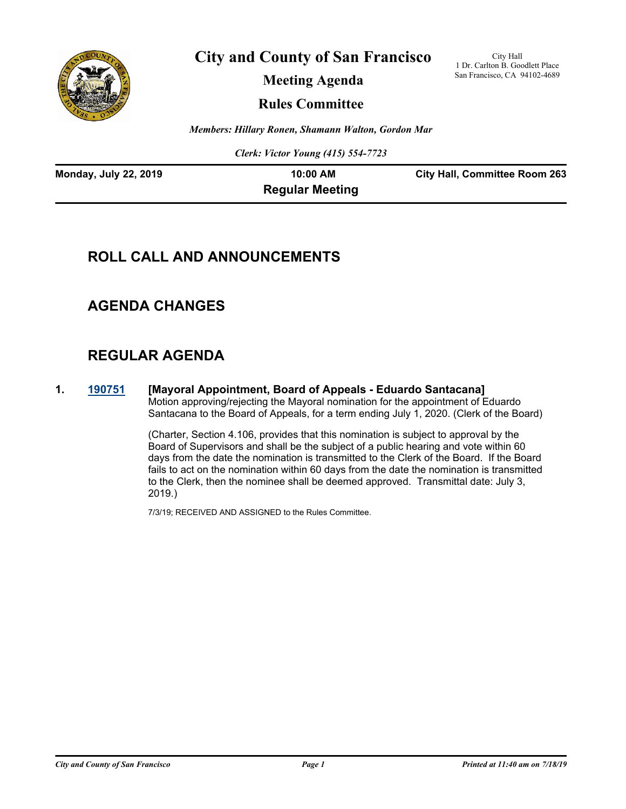

**City and County of San Francisco**

**Meeting Agenda**

City Hall 1 Dr. Carlton B. Goodlett Place San Francisco, CA 94102-4689

**Rules Committee**

*Members: Hillary Ronen, Shamann Walton, Gordon Mar*

*Clerk: Victor Young (415) 554-7723*

| <b>Monday, July 22, 2019</b> | $10:00$ AM             | <b>City Hall, Committee Room 263</b> |
|------------------------------|------------------------|--------------------------------------|
|                              | <b>Regular Meeting</b> |                                      |

## **ROLL CALL AND ANNOUNCEMENTS**

## **AGENDA CHANGES**

# **REGULAR AGENDA**

**1. [190751](http://sfgov.legistar.com/gateway.aspx?m=l&id=34873) [Mayoral Appointment, Board of Appeals - Eduardo Santacana]** Motion approving/rejecting the Mayoral nomination for the appointment of Eduardo Santacana to the Board of Appeals, for a term ending July 1, 2020. (Clerk of the Board)

> (Charter, Section 4.106, provides that this nomination is subject to approval by the Board of Supervisors and shall be the subject of a public hearing and vote within 60 days from the date the nomination is transmitted to the Clerk of the Board. If the Board fails to act on the nomination within 60 days from the date the nomination is transmitted to the Clerk, then the nominee shall be deemed approved. Transmittal date: July 3, 2019.)

7/3/19; RECEIVED AND ASSIGNED to the Rules Committee.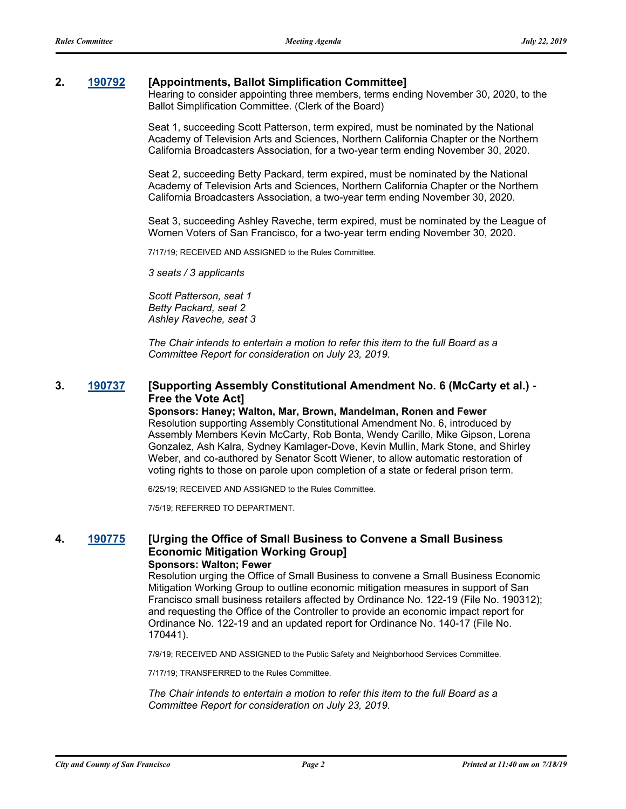## **2. [190792](http://sfgov.legistar.com/gateway.aspx?m=l&id=34914) [Appointments, Ballot Simplification Committee]**

Hearing to consider appointing three members, terms ending November 30, 2020, to the Ballot Simplification Committee. (Clerk of the Board)

Seat 1, succeeding Scott Patterson, term expired, must be nominated by the National Academy of Television Arts and Sciences, Northern California Chapter or the Northern California Broadcasters Association, for a two-year term ending November 30, 2020.

Seat 2, succeeding Betty Packard, term expired, must be nominated by the National Academy of Television Arts and Sciences, Northern California Chapter or the Northern California Broadcasters Association, a two-year term ending November 30, 2020.

Seat 3, succeeding Ashley Raveche, term expired, must be nominated by the League of Women Voters of San Francisco, for a two-year term ending November 30, 2020.

7/17/19; RECEIVED AND ASSIGNED to the Rules Committee.

*3 seats / 3 applicants*

*Scott Patterson, seat 1 Betty Packard, seat 2 Ashley Raveche, seat 3* 

*The Chair intends to entertain a motion to refer this item to the full Board as a Committee Report for consideration on July 23, 2019.*

## **3. [190737](http://sfgov.legistar.com/gateway.aspx?m=l&id=34859) [Supporting Assembly Constitutional Amendment No. 6 (McCarty et al.) - Free the Vote Act]**

**Sponsors: Haney; Walton, Mar, Brown, Mandelman, Ronen and Fewer** Resolution supporting Assembly Constitutional Amendment No. 6, introduced by Assembly Members Kevin McCarty, Rob Bonta, Wendy Carillo, Mike Gipson, Lorena Gonzalez, Ash Kalra, Sydney Kamlager-Dove, Kevin Mullin, Mark Stone, and Shirley Weber, and co-authored by Senator Scott Wiener, to allow automatic restoration of voting rights to those on parole upon completion of a state or federal prison term.

6/25/19; RECEIVED AND ASSIGNED to the Rules Committee.

7/5/19; REFERRED TO DEPARTMENT.

#### **4. [190775](http://sfgov.legistar.com/gateway.aspx?m=l&id=34897) [Urging the Office of Small Business to Convene a Small Business Economic Mitigation Working Group] Sponsors: Walton; Fewer**

Resolution urging the Office of Small Business to convene a Small Business Economic Mitigation Working Group to outline economic mitigation measures in support of San Francisco small business retailers affected by Ordinance No. 122-19 (File No. 190312); and requesting the Office of the Controller to provide an economic impact report for Ordinance No. 122-19 and an updated report for Ordinance No. 140-17 (File No. 170441).

7/9/19; RECEIVED AND ASSIGNED to the Public Safety and Neighborhood Services Committee.

7/17/19; TRANSFERRED to the Rules Committee.

*The Chair intends to entertain a motion to refer this item to the full Board as a Committee Report for consideration on July 23, 2019.*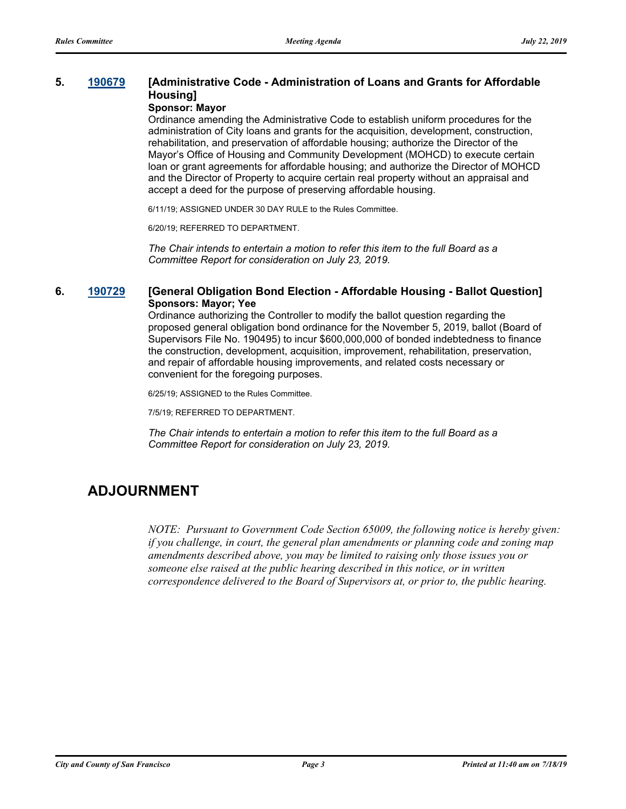## **5. [190679](http://sfgov.legistar.com/gateway.aspx?m=l&id=34801) [Administrative Code - Administration of Loans and Grants for Affordable Housing]**

#### **Sponsor: Mayor**

Ordinance amending the Administrative Code to establish uniform procedures for the administration of City loans and grants for the acquisition, development, construction, rehabilitation, and preservation of affordable housing; authorize the Director of the Mayor's Office of Housing and Community Development (MOHCD) to execute certain loan or grant agreements for affordable housing; and authorize the Director of MOHCD and the Director of Property to acquire certain real property without an appraisal and accept a deed for the purpose of preserving affordable housing.

6/11/19; ASSIGNED UNDER 30 DAY RULE to the Rules Committee.

6/20/19; REFERRED TO DEPARTMENT.

*The Chair intends to entertain a motion to refer this item to the full Board as a Committee Report for consideration on July 23, 2019.*

## **6. [190729](http://sfgov.legistar.com/gateway.aspx?m=l&id=34851) [General Obligation Bond Election - Affordable Housing - Ballot Question] Sponsors: Mayor; Yee**

Ordinance authorizing the Controller to modify the ballot question regarding the proposed general obligation bond ordinance for the November 5, 2019, ballot (Board of Supervisors File No. 190495) to incur \$600,000,000 of bonded indebtedness to finance the construction, development, acquisition, improvement, rehabilitation, preservation, and repair of affordable housing improvements, and related costs necessary or convenient for the foregoing purposes.

6/25/19; ASSIGNED to the Rules Committee.

7/5/19; REFERRED TO DEPARTMENT.

*The Chair intends to entertain a motion to refer this item to the full Board as a Committee Report for consideration on July 23, 2019.*

## **ADJOURNMENT**

*NOTE: Pursuant to Government Code Section 65009, the following notice is hereby given: if you challenge, in court, the general plan amendments or planning code and zoning map amendments described above, you may be limited to raising only those issues you or someone else raised at the public hearing described in this notice, or in written correspondence delivered to the Board of Supervisors at, or prior to, the public hearing.*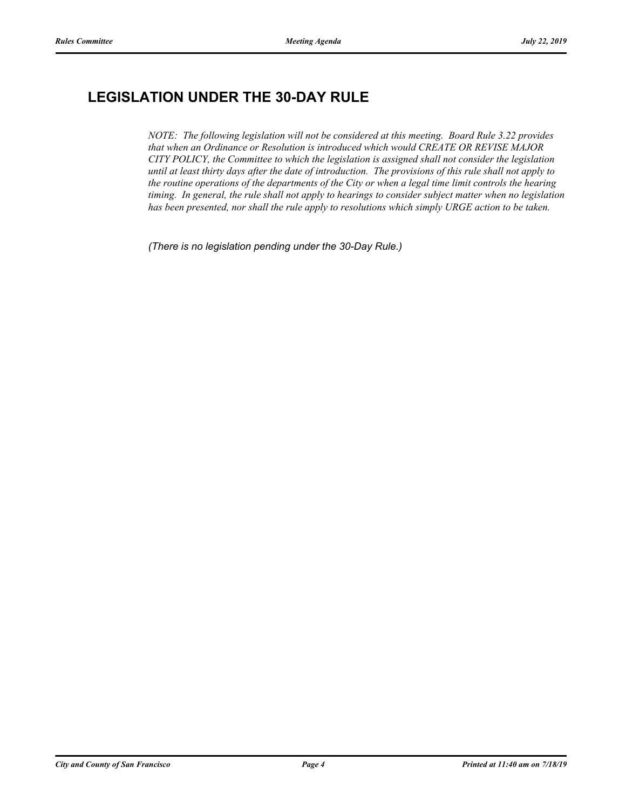# **LEGISLATION UNDER THE 30-DAY RULE**

*NOTE: The following legislation will not be considered at this meeting. Board Rule 3.22 provides that when an Ordinance or Resolution is introduced which would CREATE OR REVISE MAJOR CITY POLICY, the Committee to which the legislation is assigned shall not consider the legislation until at least thirty days after the date of introduction. The provisions of this rule shall not apply to the routine operations of the departments of the City or when a legal time limit controls the hearing timing. In general, the rule shall not apply to hearings to consider subject matter when no legislation has been presented, nor shall the rule apply to resolutions which simply URGE action to be taken.*

*(There is no legislation pending under the 30-Day Rule.)*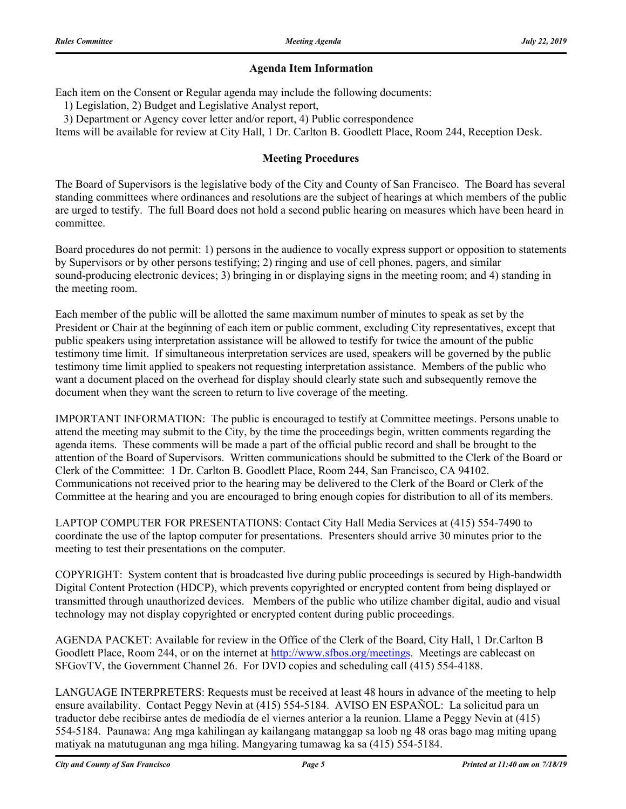## **Agenda Item Information**

Each item on the Consent or Regular agenda may include the following documents:

1) Legislation, 2) Budget and Legislative Analyst report,

3) Department or Agency cover letter and/or report, 4) Public correspondence

Items will be available for review at City Hall, 1 Dr. Carlton B. Goodlett Place, Room 244, Reception Desk.

## **Meeting Procedures**

The Board of Supervisors is the legislative body of the City and County of San Francisco. The Board has several standing committees where ordinances and resolutions are the subject of hearings at which members of the public are urged to testify. The full Board does not hold a second public hearing on measures which have been heard in committee.

Board procedures do not permit: 1) persons in the audience to vocally express support or opposition to statements by Supervisors or by other persons testifying; 2) ringing and use of cell phones, pagers, and similar sound-producing electronic devices; 3) bringing in or displaying signs in the meeting room; and 4) standing in the meeting room.

Each member of the public will be allotted the same maximum number of minutes to speak as set by the President or Chair at the beginning of each item or public comment, excluding City representatives, except that public speakers using interpretation assistance will be allowed to testify for twice the amount of the public testimony time limit. If simultaneous interpretation services are used, speakers will be governed by the public testimony time limit applied to speakers not requesting interpretation assistance. Members of the public who want a document placed on the overhead for display should clearly state such and subsequently remove the document when they want the screen to return to live coverage of the meeting.

IMPORTANT INFORMATION: The public is encouraged to testify at Committee meetings. Persons unable to attend the meeting may submit to the City, by the time the proceedings begin, written comments regarding the agenda items. These comments will be made a part of the official public record and shall be brought to the attention of the Board of Supervisors. Written communications should be submitted to the Clerk of the Board or Clerk of the Committee: 1 Dr. Carlton B. Goodlett Place, Room 244, San Francisco, CA 94102. Communications not received prior to the hearing may be delivered to the Clerk of the Board or Clerk of the Committee at the hearing and you are encouraged to bring enough copies for distribution to all of its members.

LAPTOP COMPUTER FOR PRESENTATIONS: Contact City Hall Media Services at (415) 554-7490 to coordinate the use of the laptop computer for presentations. Presenters should arrive 30 minutes prior to the meeting to test their presentations on the computer.

COPYRIGHT: System content that is broadcasted live during public proceedings is secured by High-bandwidth Digital Content Protection (HDCP), which prevents copyrighted or encrypted content from being displayed or transmitted through unauthorized devices. Members of the public who utilize chamber digital, audio and visual technology may not display copyrighted or encrypted content during public proceedings.

AGENDA PACKET: Available for review in the Office of the Clerk of the Board, City Hall, 1 Dr.Carlton B Goodlett Place, Room 244, or on the internet at http://www.sfbos.org/meetings. Meetings are cablecast on SFGovTV, the Government Channel 26. For DVD copies and scheduling call (415) 554-4188.

LANGUAGE INTERPRETERS: Requests must be received at least 48 hours in advance of the meeting to help ensure availability. Contact Peggy Nevin at (415) 554-5184. AVISO EN ESPAÑOL: La solicitud para un traductor debe recibirse antes de mediodía de el viernes anterior a la reunion. Llame a Peggy Nevin at (415) 554-5184. Paunawa: Ang mga kahilingan ay kailangang matanggap sa loob ng 48 oras bago mag miting upang matiyak na matutugunan ang mga hiling. Mangyaring tumawag ka sa (415) 554-5184.